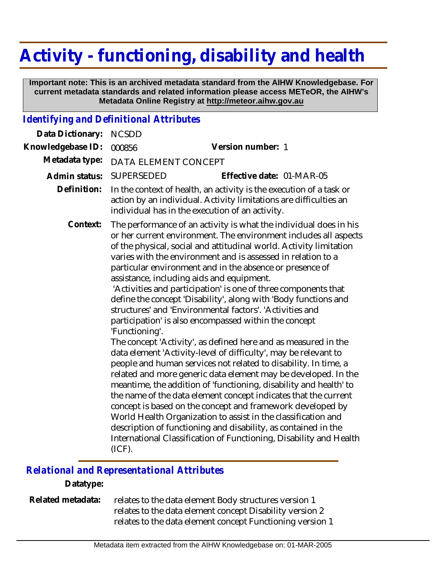# **Activity - functioning, disability and health**

 **Important note: This is an archived metadata standard from the AIHW Knowledgebase. For current metadata standards and related information please access METeOR, the AIHW's Metadata Online Registry at http://meteor.aihw.gov.au**

## *Identifying and Definitional Attributes*

| Data Dictionary:  | <b>NCSDD</b>                                                                                                                                                                                                                                                                                                                                                                                                                                                                                                                                                                                                                                                                                                                                                                                                                                                                                                                                                                                                                                                                                                                                                                                                                                                                                                                                                        |                           |
|-------------------|---------------------------------------------------------------------------------------------------------------------------------------------------------------------------------------------------------------------------------------------------------------------------------------------------------------------------------------------------------------------------------------------------------------------------------------------------------------------------------------------------------------------------------------------------------------------------------------------------------------------------------------------------------------------------------------------------------------------------------------------------------------------------------------------------------------------------------------------------------------------------------------------------------------------------------------------------------------------------------------------------------------------------------------------------------------------------------------------------------------------------------------------------------------------------------------------------------------------------------------------------------------------------------------------------------------------------------------------------------------------|---------------------------|
| Knowledgebase ID: | 000856                                                                                                                                                                                                                                                                                                                                                                                                                                                                                                                                                                                                                                                                                                                                                                                                                                                                                                                                                                                                                                                                                                                                                                                                                                                                                                                                                              | Version number: 1         |
| Metadata type:    | DATA ELEMENT CONCEPT                                                                                                                                                                                                                                                                                                                                                                                                                                                                                                                                                                                                                                                                                                                                                                                                                                                                                                                                                                                                                                                                                                                                                                                                                                                                                                                                                |                           |
| Admin status:     | <b>SUPERSEDED</b>                                                                                                                                                                                                                                                                                                                                                                                                                                                                                                                                                                                                                                                                                                                                                                                                                                                                                                                                                                                                                                                                                                                                                                                                                                                                                                                                                   | Effective date: 01-MAR-05 |
| Definition:       | In the context of health, an activity is the execution of a task or<br>action by an individual. Activity limitations are difficulties an<br>individual has in the execution of an activity.                                                                                                                                                                                                                                                                                                                                                                                                                                                                                                                                                                                                                                                                                                                                                                                                                                                                                                                                                                                                                                                                                                                                                                         |                           |
| Context:          | The performance of an activity is what the individual does in his<br>or her current environment. The environment includes all aspects<br>of the physical, social and attitudinal world. Activity limitation<br>varies with the environment and is assessed in relation to a<br>particular environment and in the absence or presence of<br>assistance, including aids and equipment.<br>'Activities and participation' is one of three components that<br>define the concept 'Disability', along with 'Body functions and<br>structures' and 'Environmental factors'. 'Activities and<br>participation' is also encompassed within the concept<br>'Functioning'.<br>The concept 'Activity', as defined here and as measured in the<br>data element 'Activity-level of difficulty', may be relevant to<br>people and human services not related to disability. In time, a<br>related and more generic data element may be developed. In the<br>meantime, the addition of 'functioning, disability and health' to<br>the name of the data element concept indicates that the current<br>concept is based on the concept and framework developed by<br>World Health Organization to assist in the classification and<br>description of functioning and disability, as contained in the<br>International Classification of Functioning, Disability and Health<br>(ICF). |                           |

### *Relational and Representational Attributes*

#### **Datatype:**

relates to the data element Body structures version 1 relates to the data element concept Disability version 2 relates to the data element concept Functioning version 1 **Related metadata:**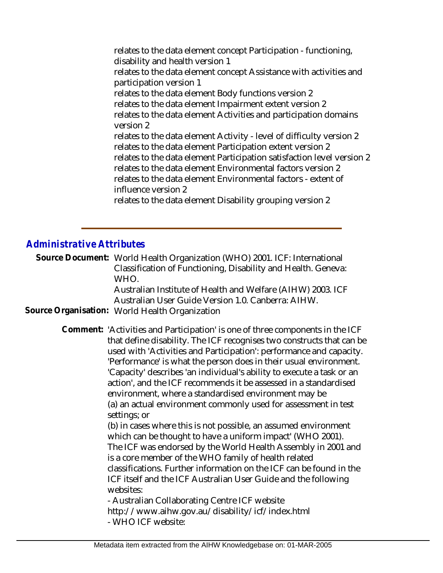relates to the data element concept Participation - functioning, disability and health version 1 relates to the data element concept Assistance with activities and participation version 1 relates to the data element Body functions version 2 relates to the data element Impairment extent version 2 relates to the data element Activities and participation domains version 2 relates to the data element Activity - level of difficulty version 2 relates to the data element Participation extent version 2 relates to the data element Participation satisfaction level version 2 relates to the data element Environmental factors version 2 relates to the data element Environmental factors - extent of influence version 2 relates to the data element Disability grouping version 2

#### *Administrative Attributes*

Source Document: World Health Organization (WHO) 2001. ICF: International Classification of Functioning, Disability and Health. Geneva: WHO.

> Australian Institute of Health and Welfare (AIHW) 2003. ICF Australian User Guide Version 1.0. Canberra: AIHW.

**Source Organisation:** World Health Organization

Comment: 'Activities and Participation' is one of three components in the ICF that define disability. The ICF recognises two constructs that can be used with 'Activities and Participation': performance and capacity. 'Performance' is what the person does in their usual environment. 'Capacity' describes 'an individual's ability to execute a task or an action', and the ICF recommends it be assessed in a standardised environment, where a standardised environment may be (a) an actual environment commonly used for assessment in test settings; or

> (b) in cases where this is not possible, an assumed environment which can be thought to have a uniform impact' (WHO 2001). The ICF was endorsed by the World Health Assembly in 2001 and is a core member of the WHO family of health related classifications. Further information on the ICF can be found in the ICF itself and the ICF Australian User Guide and the following websites:

- Australian Collaborating Centre ICF website http://www.aihw.gov.au/disability/icf/index.html - WHO ICF website: